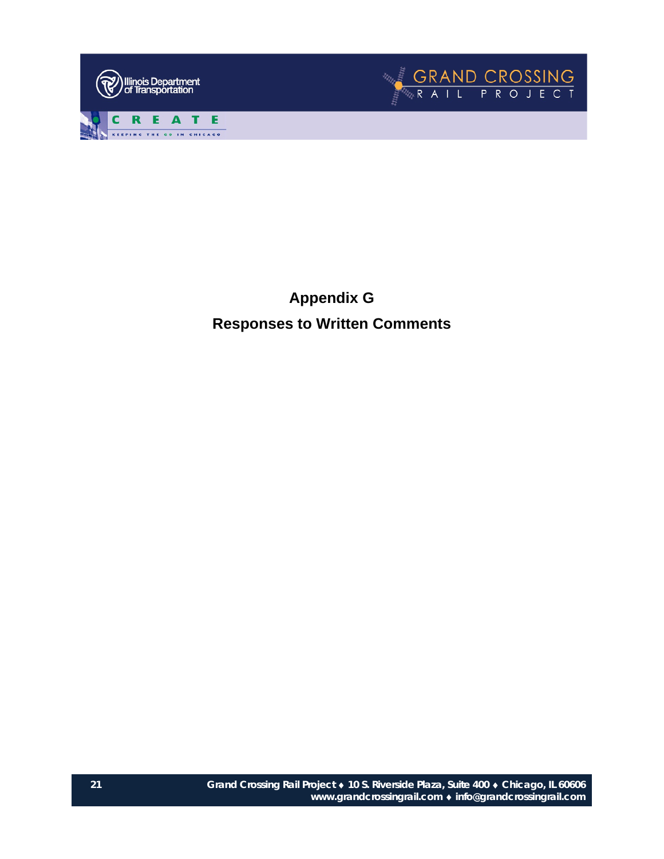



**Appendix G Responses to Written Comments**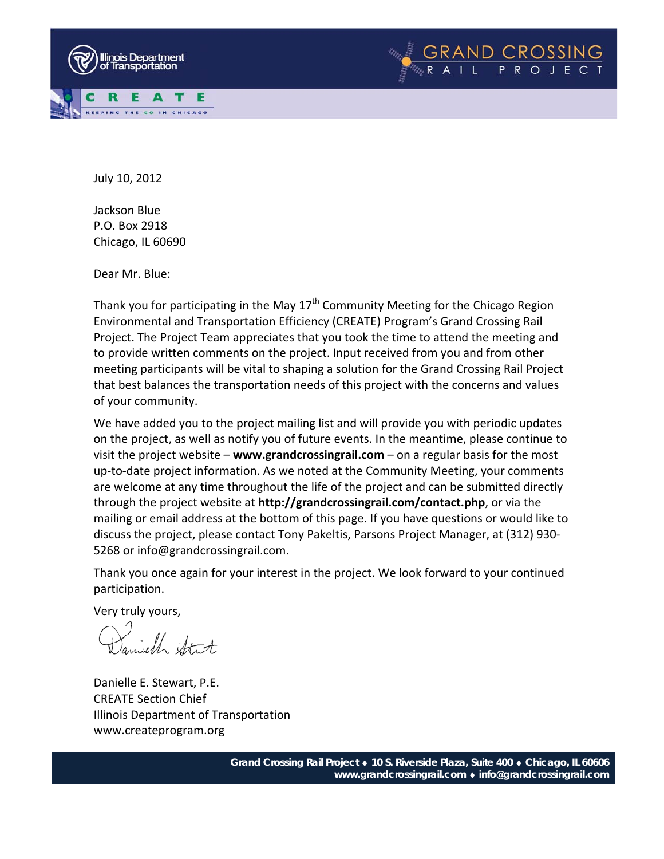



Jackson Blue P.O. Box 2918 Chicago, IL 60690

Dear Mr. Blue:

Thank you for participating in the May  $17<sup>th</sup>$  Community Meeting for the Chicago Region Environmental and Transportation Efficiency (CREATE) Program's Grand Crossing Rail Project. The Project Team appreciates that you took the time to attend the meeting and to provide written comments on the project. Input received from you and from other meeting participants will be vital to shaping a solution for the Grand Crossing Rail Project that best balances the transportation needs of this project with the concerns and values of your community.

We have added you to the project mailing list and will provide you with periodic updates on the project, as well as notify you of future events. In the meantime, please continue to visit the project website – **www.grandcrossingrail.com** – on a regular basis for the most up-to-date project information. As we noted at the Community Meeting, your comments are welcome at any time throughout the life of the project and can be submitted directly through the project website at **http://grandcrossingrail.com/contact.php**, or via the mailing or email address at the bottom of this page. If you have questions or would like to discuss the project, please contact Tony Pakeltis, Parsons Project Manager, at (312) 930‐ 5268 or info@grandcrossingrail.com.

Thank you once again for your interest in the project. We look forward to your continued participation.

Samiell Stat

Danielle E. Stewart, P.E. CREATE Section Chief Illinois Department of Transportation www.createprogram.org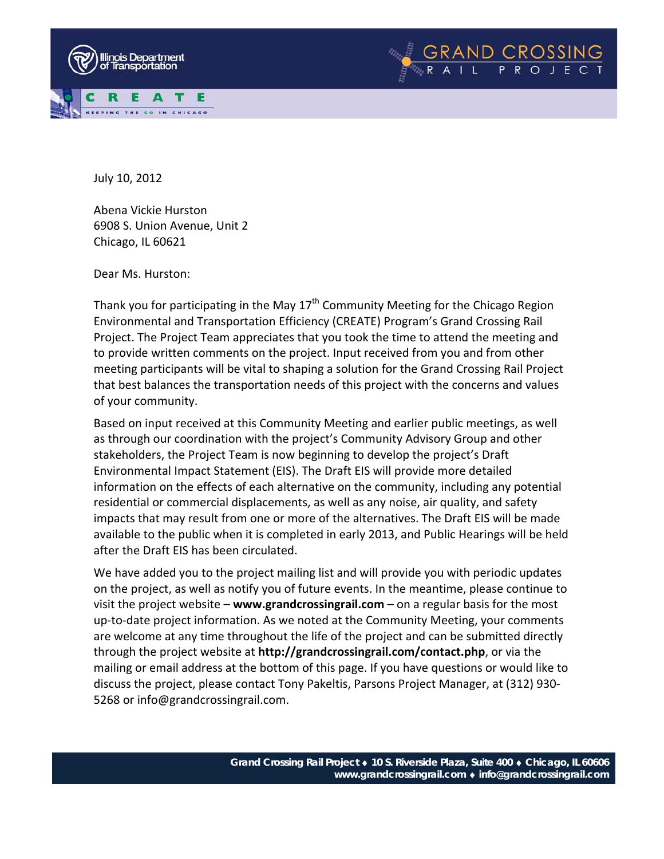



Abena Vickie Hurston 6908 S. Union Avenue, Unit 2 Chicago, IL 60621

Dear Ms. Hurston:

Thank you for participating in the May  $17<sup>th</sup>$  Community Meeting for the Chicago Region Environmental and Transportation Efficiency (CREATE) Program's Grand Crossing Rail Project. The Project Team appreciates that you took the time to attend the meeting and to provide written comments on the project. Input received from you and from other meeting participants will be vital to shaping a solution for the Grand Crossing Rail Project that best balances the transportation needs of this project with the concerns and values of your community.

Based on input received at this Community Meeting and earlier public meetings, as well as through our coordination with the project's Community Advisory Group and other stakeholders, the Project Team is now beginning to develop the project's Draft Environmental Impact Statement (EIS). The Draft EIS will provide more detailed information on the effects of each alternative on the community, including any potential residential or commercial displacements, as well as any noise, air quality, and safety impacts that may result from one or more of the alternatives. The Draft EIS will be made available to the public when it is completed in early 2013, and Public Hearings will be held after the Draft EIS has been circulated.

We have added you to the project mailing list and will provide you with periodic updates on the project, as well as notify you of future events. In the meantime, please continue to visit the project website – **www.grandcrossingrail.com** – on a regular basis for the most up-to-date project information. As we noted at the Community Meeting, your comments are welcome at any time throughout the life of the project and can be submitted directly through the project website at **http://grandcrossingrail.com/contact.php**, or via the mailing or email address at the bottom of this page. If you have questions or would like to discuss the project, please contact Tony Pakeltis, Parsons Project Manager, at (312) 930‐ 5268 or info@grandcrossingrail.com.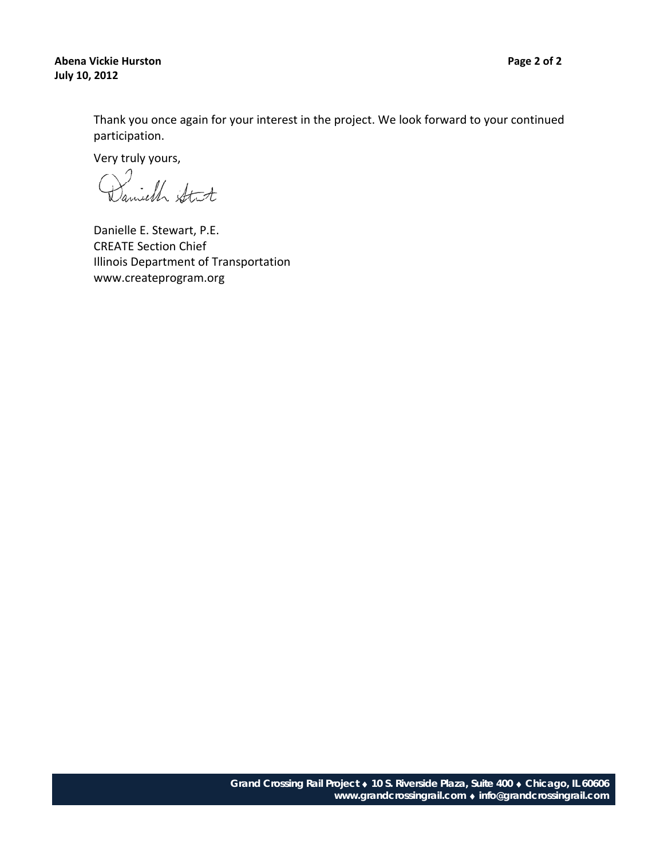## **Abena Vickie Hurston Page 2 of 2 July 10, 2012**

Thank you once again for your interest in the project. We look forward to your continued participation.

Very truly yours,

Danielle E. Stewart, P.E. CREATE Section Chief Illinois Department of Transportation www.createprogram.org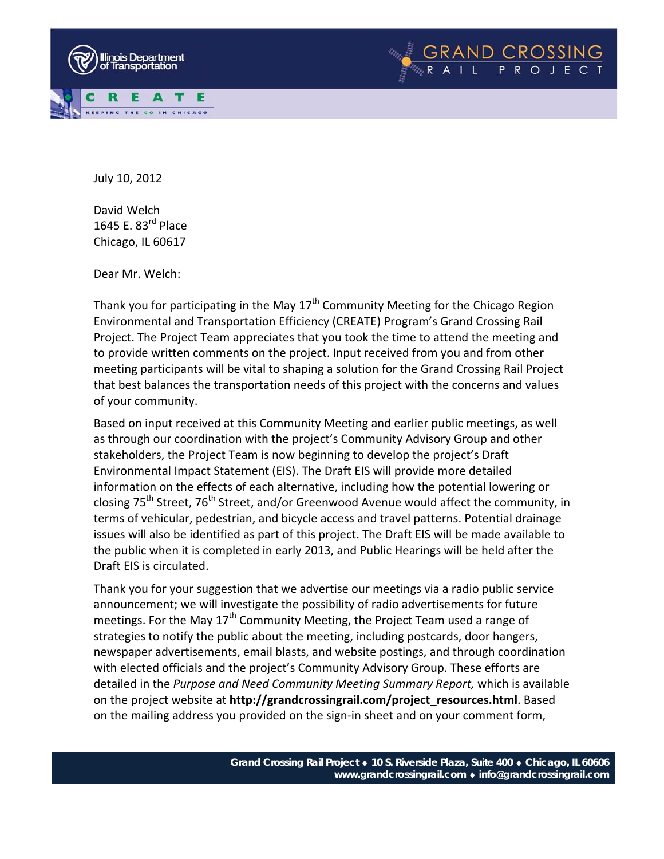



David Welch 1645 E. 83<sup>rd</sup> Place Chicago, IL 60617

Dear Mr. Welch:

Thank you for participating in the May  $17<sup>th</sup>$  Community Meeting for the Chicago Region Environmental and Transportation Efficiency (CREATE) Program's Grand Crossing Rail Project. The Project Team appreciates that you took the time to attend the meeting and to provide written comments on the project. Input received from you and from other meeting participants will be vital to shaping a solution for the Grand Crossing Rail Project that best balances the transportation needs of this project with the concerns and values of your community.

Based on input received at this Community Meeting and earlier public meetings, as well as through our coordination with the project's Community Advisory Group and other stakeholders, the Project Team is now beginning to develop the project's Draft Environmental Impact Statement (EIS). The Draft EIS will provide more detailed information on the effects of each alternative, including how the potential lowering or closing  $75<sup>th</sup>$  Street,  $76<sup>th</sup>$  Street, and/or Greenwood Avenue would affect the community, in terms of vehicular, pedestrian, and bicycle access and travel patterns. Potential drainage issues will also be identified as part of this project. The Draft EIS will be made available to the public when it is completed in early 2013, and Public Hearings will be held after the Draft EIS is circulated.

Thank you for your suggestion that we advertise our meetings via a radio public service announcement; we will investigate the possibility of radio advertisements for future meetings. For the May 17<sup>th</sup> Community Meeting, the Project Team used a range of strategies to notify the public about the meeting, including postcards, door hangers, newspaper advertisements, email blasts, and website postings, and through coordination with elected officials and the project's Community Advisory Group. These efforts are detailed in the *Purpose and Need Community Meeting Summary Report,* which is available on the project website at **http://grandcrossingrail.com/project\_resources.html**. Based on the mailing address you provided on the sign-in sheet and on your comment form,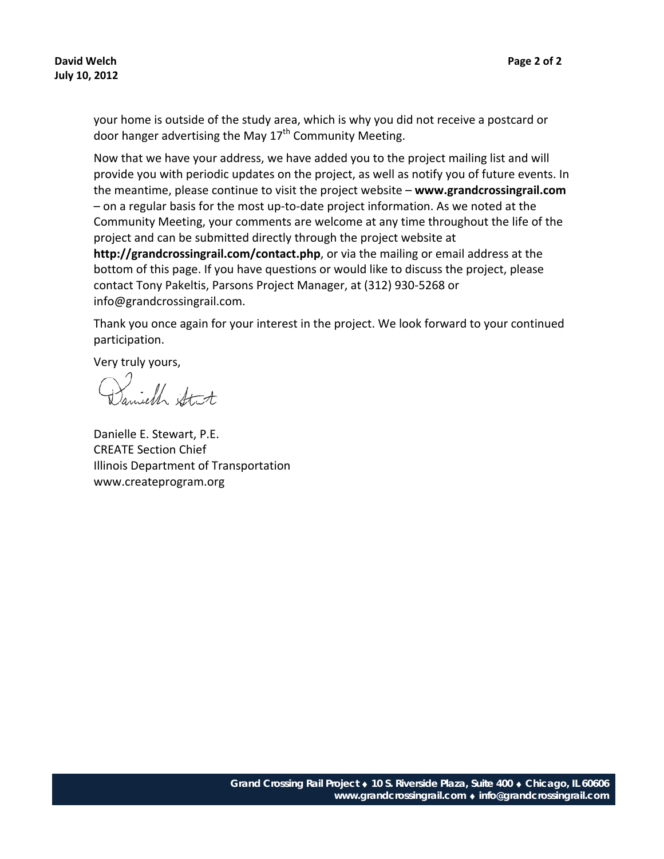your home is outside of the study area, which is why you did not receive a postcard or door hanger advertising the May  $17<sup>th</sup>$  Community Meeting.

Now that we have your address, we have added you to the project mailing list and will provide you with periodic updates on the project, as well as notify you of future events. In the meantime, please continue to visit the project website – **www.grandcrossingrail.com** – on a regular basis for the most up‐to‐date project information. As we noted at the Community Meeting, your comments are welcome at any time throughout the life of the project and can be submitted directly through the project website at **http://grandcrossingrail.com/contact.php**, or via the mailing or email address at the bottom of this page. If you have questions or would like to discuss the project, please contact Tony Pakeltis, Parsons Project Manager, at (312) 930‐5268 or info@grandcrossingrail.com.

Thank you once again for your interest in the project. We look forward to your continued participation.

Very truly yours,

Danielle E. Stewart, P.E. CREATE Section Chief Illinois Department of Transportation www.createprogram.org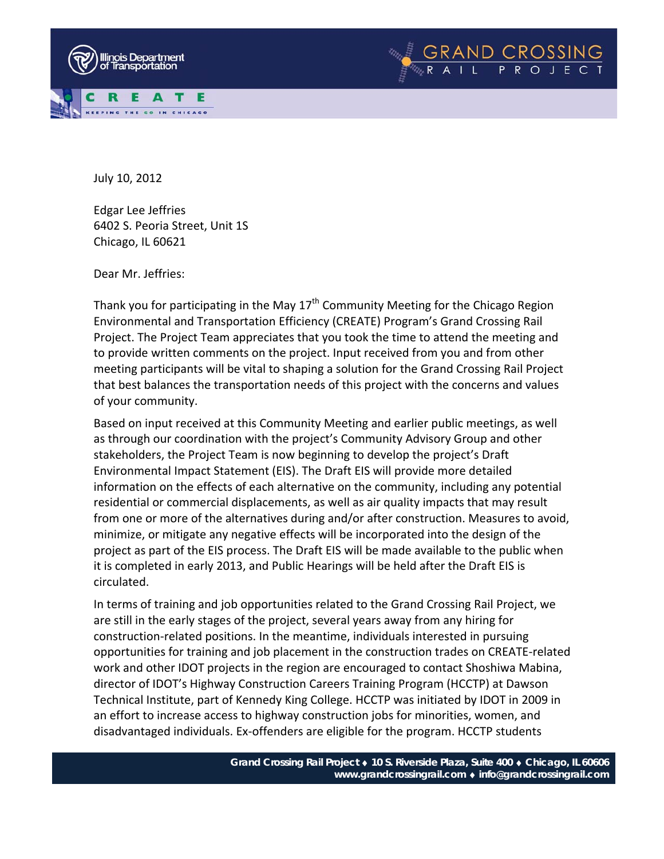



Edgar Lee Jeffries 6402 S. Peoria Street, Unit 1S Chicago, IL 60621

Dear Mr. Jeffries:

Thank you for participating in the May  $17<sup>th</sup>$  Community Meeting for the Chicago Region Environmental and Transportation Efficiency (CREATE) Program's Grand Crossing Rail Project. The Project Team appreciates that you took the time to attend the meeting and to provide written comments on the project. Input received from you and from other meeting participants will be vital to shaping a solution for the Grand Crossing Rail Project that best balances the transportation needs of this project with the concerns and values of your community.

Based on input received at this Community Meeting and earlier public meetings, as well as through our coordination with the project's Community Advisory Group and other stakeholders, the Project Team is now beginning to develop the project's Draft Environmental Impact Statement (EIS). The Draft EIS will provide more detailed information on the effects of each alternative on the community, including any potential residential or commercial displacements, as well as air quality impacts that may result from one or more of the alternatives during and/or after construction. Measures to avoid, minimize, or mitigate any negative effects will be incorporated into the design of the project as part of the EIS process. The Draft EIS will be made available to the public when it is completed in early 2013, and Public Hearings will be held after the Draft EIS is circulated.

In terms of training and job opportunities related to the Grand Crossing Rail Project, we are still in the early stages of the project, several years away from any hiring for construction‐related positions. In the meantime, individuals interested in pursuing opportunities for training and job placement in the construction trades on CREATE‐related work and other IDOT projects in the region are encouraged to contact Shoshiwa Mabina, director of IDOT's Highway Construction Careers Training Program (HCCTP) at Dawson Technical Institute, part of Kennedy King College. HCCTP was initiated by IDOT in 2009 in an effort to increase access to highway construction jobs for minorities, women, and disadvantaged individuals. Ex‐offenders are eligible for the program. HCCTP students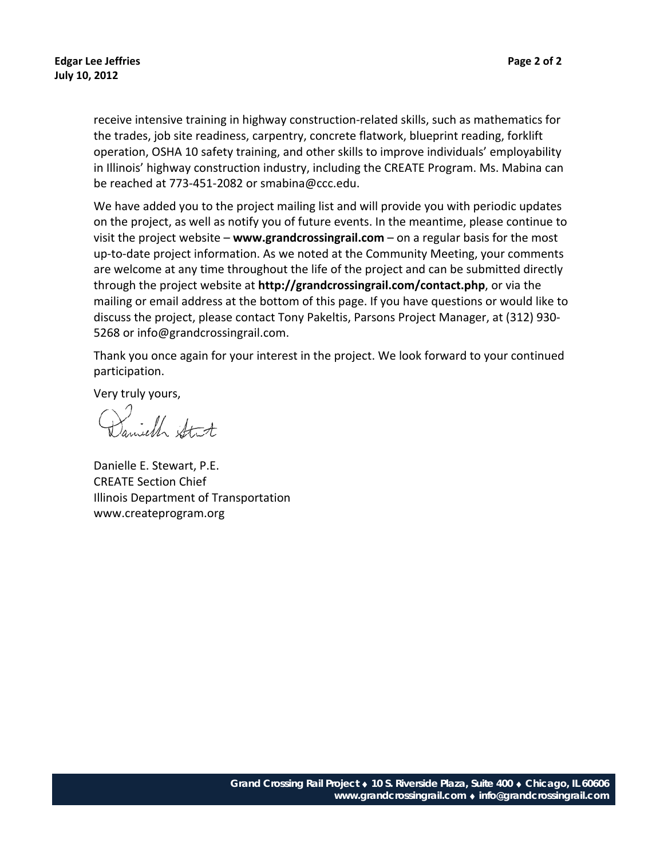receive intensive training in highway construction‐related skills, such as mathematics for the trades, job site readiness, carpentry, concrete flatwork, blueprint reading, forklift operation, OSHA 10 safety training, and other skills to improve individuals' employability in Illinois' highway construction industry, including the CREATE Program. Ms. Mabina can be reached at 773‐451‐2082 or smabina@ccc.edu.

We have added you to the project mailing list and will provide you with periodic updates on the project, as well as notify you of future events. In the meantime, please continue to visit the project website – **www.grandcrossingrail.com** – on a regular basis for the most up-to-date project information. As we noted at the Community Meeting, your comments are welcome at any time throughout the life of the project and can be submitted directly through the project website at **http://grandcrossingrail.com/contact.php**, or via the mailing or email address at the bottom of this page. If you have questions or would like to discuss the project, please contact Tony Pakeltis, Parsons Project Manager, at (312) 930‐ 5268 or info@grandcrossingrail.com.

Thank you once again for your interest in the project. We look forward to your continued participation.

Jamiell Strt

Danielle E. Stewart, P.E. CREATE Section Chief Illinois Department of Transportation www.createprogram.org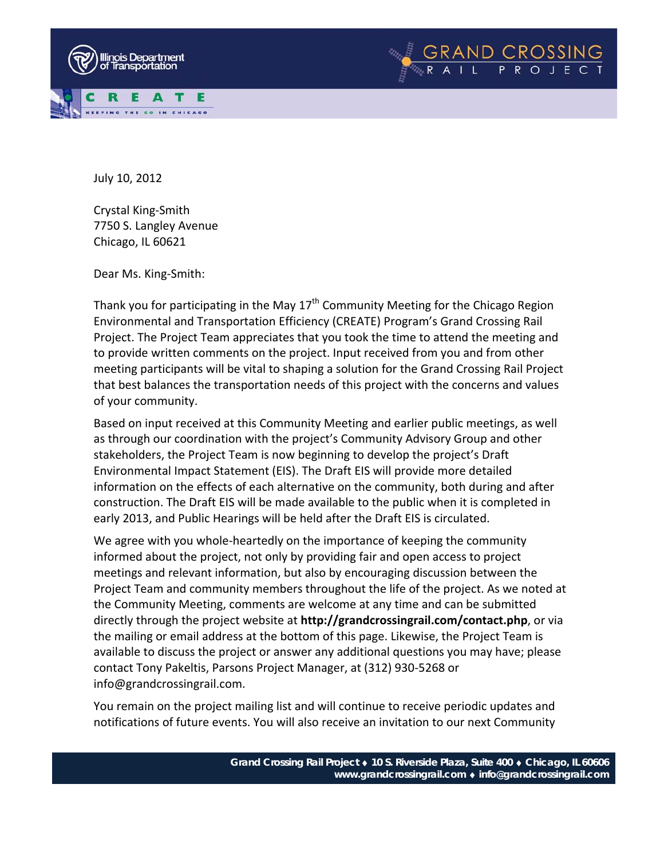



Crystal King‐Smith 7750 S. Langley Avenue Chicago, IL 60621

Dear Ms. King‐Smith:

Thank you for participating in the May  $17<sup>th</sup>$  Community Meeting for the Chicago Region Environmental and Transportation Efficiency (CREATE) Program's Grand Crossing Rail Project. The Project Team appreciates that you took the time to attend the meeting and to provide written comments on the project. Input received from you and from other meeting participants will be vital to shaping a solution for the Grand Crossing Rail Project that best balances the transportation needs of this project with the concerns and values of your community.

Based on input received at this Community Meeting and earlier public meetings, as well as through our coordination with the project's Community Advisory Group and other stakeholders, the Project Team is now beginning to develop the project's Draft Environmental Impact Statement (EIS). The Draft EIS will provide more detailed information on the effects of each alternative on the community, both during and after construction. The Draft EIS will be made available to the public when it is completed in early 2013, and Public Hearings will be held after the Draft EIS is circulated.

We agree with you whole-heartedly on the importance of keeping the community informed about the project, not only by providing fair and open access to project meetings and relevant information, but also by encouraging discussion between the Project Team and community members throughout the life of the project. As we noted at the Community Meeting, comments are welcome at any time and can be submitted directly through the project website at **http://grandcrossingrail.com/contact.php**, or via the mailing or email address at the bottom of this page. Likewise, the Project Team is available to discuss the project or answer any additional questions you may have; please contact Tony Pakeltis, Parsons Project Manager, at (312) 930‐5268 or info@grandcrossingrail.com.

You remain on the project mailing list and will continue to receive periodic updates and notifications of future events. You will also receive an invitation to our next Community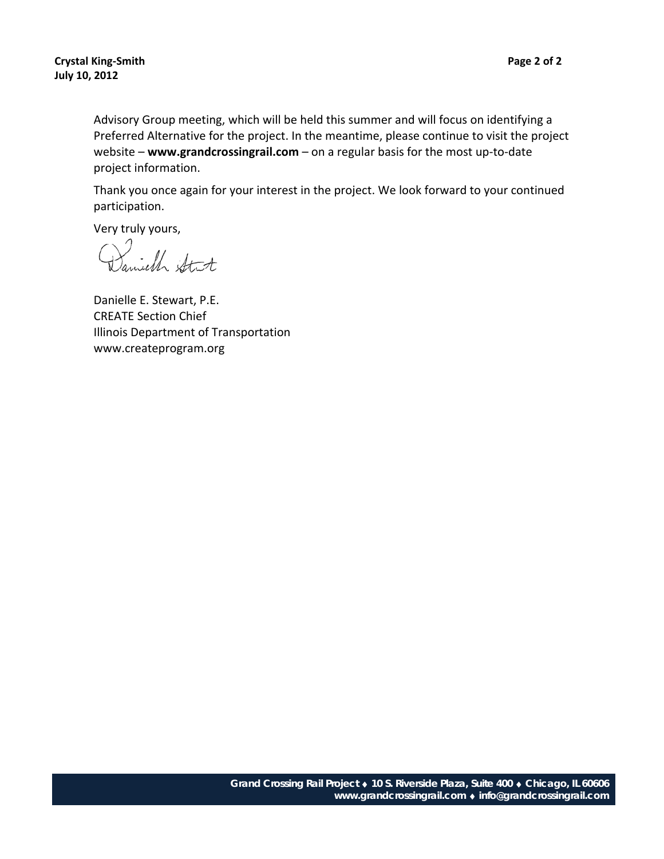Advisory Group meeting, which will be held this summer and will focus on identifying a Preferred Alternative for the project. In the meantime, please continue to visit the project website – **www.grandcrossingrail.com** – on a regular basis for the most up‐to‐date project information.

Thank you once again for your interest in the project. We look forward to your continued participation.

Very truly yours,<br>Daniell Stat

Danielle E. Stewart, P.E. CREATE Section Chief Illinois Department of Transportation www.createprogram.org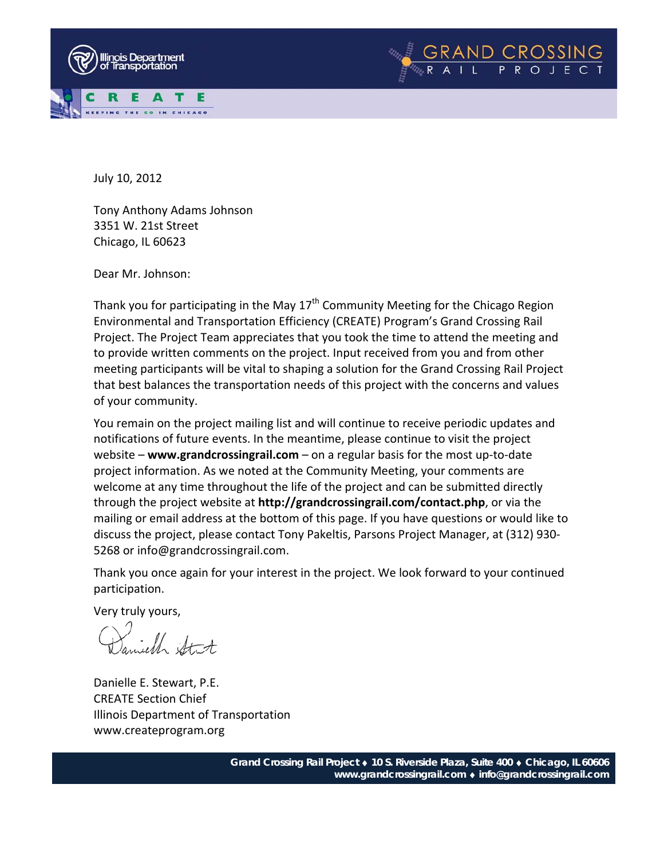



Tony Anthony Adams Johnson 3351 W. 21st Street Chicago, IL 60623

Dear Mr. Johnson:

Thank you for participating in the May  $17<sup>th</sup>$  Community Meeting for the Chicago Region Environmental and Transportation Efficiency (CREATE) Program's Grand Crossing Rail Project. The Project Team appreciates that you took the time to attend the meeting and to provide written comments on the project. Input received from you and from other meeting participants will be vital to shaping a solution for the Grand Crossing Rail Project that best balances the transportation needs of this project with the concerns and values of your community.

You remain on the project mailing list and will continue to receive periodic updates and notifications of future events. In the meantime, please continue to visit the project website – **www.grandcrossingrail.com** – on a regular basis for the most up‐to‐date project information. As we noted at the Community Meeting, your comments are welcome at any time throughout the life of the project and can be submitted directly through the project website at **http://grandcrossingrail.com/contact.php**, or via the mailing or email address at the bottom of this page. If you have questions or would like to discuss the project, please contact Tony Pakeltis, Parsons Project Manager, at (312) 930‐ 5268 or info@grandcrossingrail.com.

Thank you once again for your interest in the project. We look forward to your continued participation.

Samiell Stat

Danielle E. Stewart, P.E. CREATE Section Chief Illinois Department of Transportation www.createprogram.org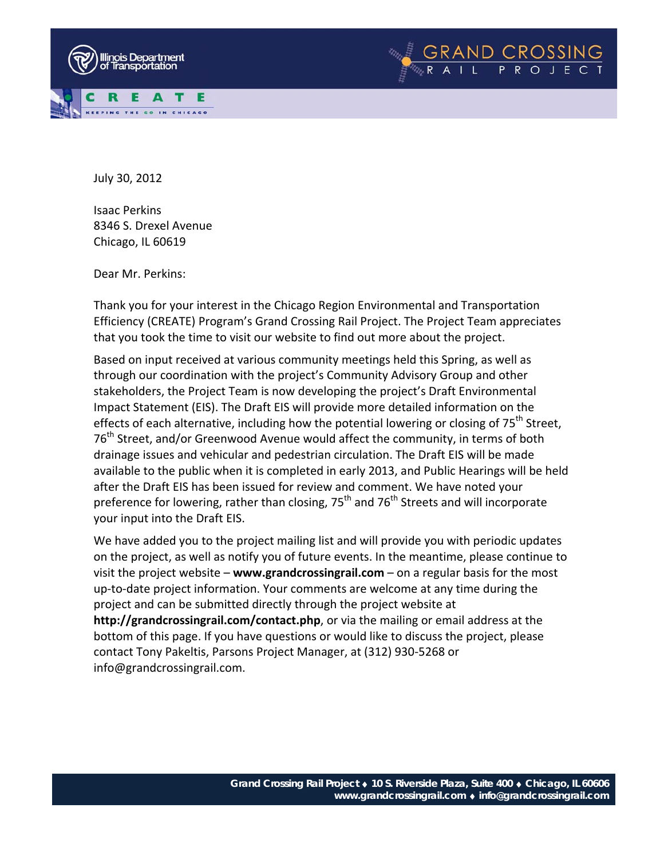



July 30, 2012

Isaac Perkins 8346 S. Drexel Avenue Chicago, IL 60619

Dear Mr. Perkins:

Thank you for your interest in the Chicago Region Environmental and Transportation Efficiency (CREATE) Program's Grand Crossing Rail Project. The Project Team appreciates that you took the time to visit our website to find out more about the project.

Based on input received at various community meetings held this Spring, as well as through our coordination with the project's Community Advisory Group and other stakeholders, the Project Team is now developing the project's Draft Environmental Impact Statement (EIS). The Draft EIS will provide more detailed information on the effects of each alternative, including how the potential lowering or closing of  $75<sup>th</sup>$  Street, 76<sup>th</sup> Street, and/or Greenwood Avenue would affect the community, in terms of both drainage issues and vehicular and pedestrian circulation. The Draft EIS will be made available to the public when it is completed in early 2013, and Public Hearings will be held after the Draft EIS has been issued for review and comment. We have noted your preference for lowering, rather than closing,  $75<sup>th</sup>$  and  $76<sup>th</sup>$  Streets and will incorporate your input into the Draft EIS.

We have added you to the project mailing list and will provide you with periodic updates on the project, as well as notify you of future events. In the meantime, please continue to visit the project website – **www.grandcrossingrail.com** – on a regular basis for the most up‐to‐date project information. Your comments are welcome at any time during the project and can be submitted directly through the project website at **http://grandcrossingrail.com/contact.php**, or via the mailing or email address at the bottom of this page. If you have questions or would like to discuss the project, please contact Tony Pakeltis, Parsons Project Manager, at (312) 930‐5268 or info@grandcrossingrail.com.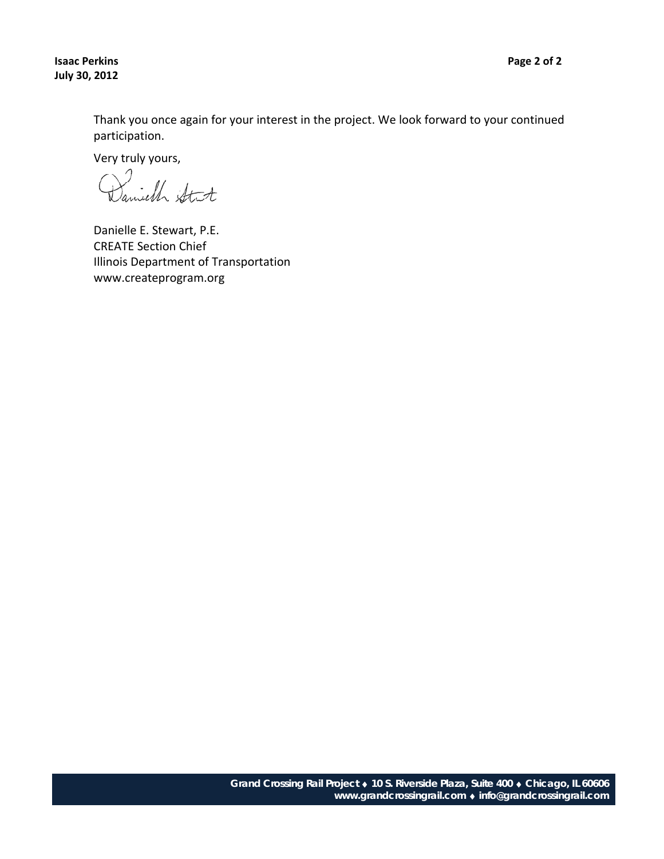**Isaac Perkins Page 2 of 2 July 30, 2012**

Thank you once again for your interest in the project. We look forward to your continued participation.

Very truly yours,

Danielle E. Stewart, P.E. CREATE Section Chief Illinois Department of Transportation www.createprogram.org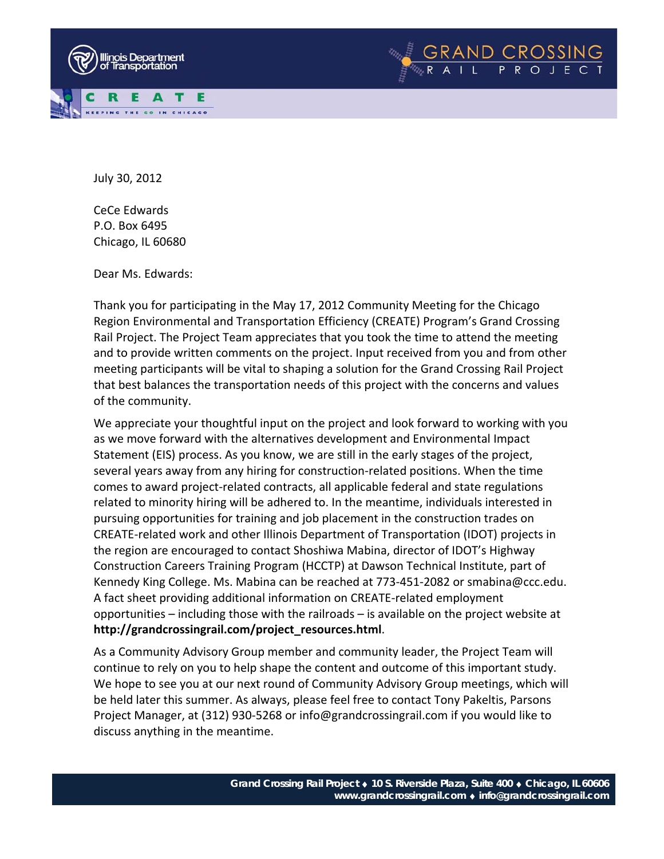



July 30, 2012

CeCe Edwards P.O. Box 6495 Chicago, IL 60680

Dear Ms. Edwards:

Thank you for participating in the May 17, 2012 Community Meeting for the Chicago Region Environmental and Transportation Efficiency (CREATE) Program's Grand Crossing Rail Project. The Project Team appreciates that you took the time to attend the meeting and to provide written comments on the project. Input received from you and from other meeting participants will be vital to shaping a solution for the Grand Crossing Rail Project that best balances the transportation needs of this project with the concerns and values of the community.

We appreciate your thoughtful input on the project and look forward to working with you as we move forward with the alternatives development and Environmental Impact Statement (EIS) process. As you know, we are still in the early stages of the project, several years away from any hiring for construction‐related positions. When the time comes to award project‐related contracts, all applicable federal and state regulations related to minority hiring will be adhered to. In the meantime, individuals interested in pursuing opportunities for training and job placement in the construction trades on CREATE‐related work and other Illinois Department of Transportation (IDOT) projects in the region are encouraged to contact Shoshiwa Mabina, director of IDOT's Highway Construction Careers Training Program (HCCTP) at Dawson Technical Institute, part of Kennedy King College. Ms. Mabina can be reached at 773‐451‐2082 or smabina@ccc.edu. A fact sheet providing additional information on CREATE‐related employment opportunities – including those with the railroads – is available on the project website at **http://grandcrossingrail.com/project\_resources.html**.

As a Community Advisory Group member and community leader, the Project Team will continue to rely on you to help shape the content and outcome of this important study. We hope to see you at our next round of Community Advisory Group meetings, which will be held later this summer. As always, please feel free to contact Tony Pakeltis, Parsons Project Manager, at (312) 930‐5268 or info@grandcrossingrail.com if you would like to discuss anything in the meantime.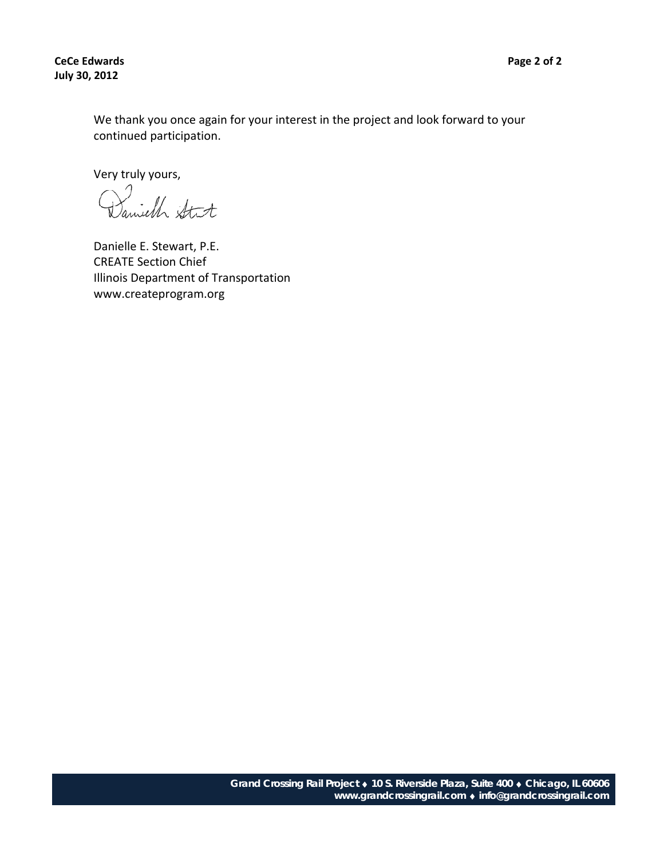**CeCe Edwards Page 2 of 2 July 30, 2012**

We thank you once again for your interest in the project and look forward to your continued participation.

Very truly yours,

Danielle E. Stewart, P.E. CREATE Section Chief Illinois Department of Transportation www.createprogram.org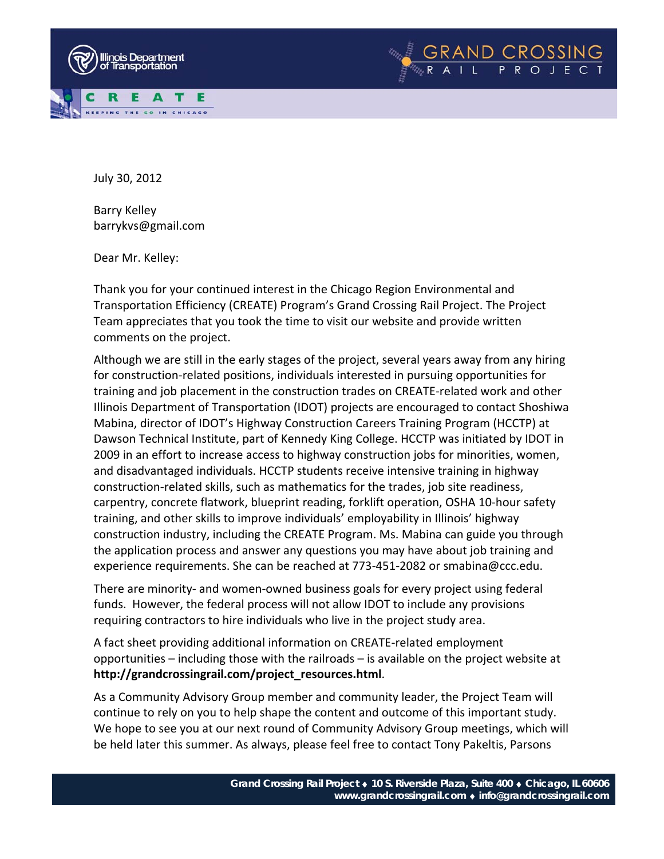



Barry Kelley barrykvs@gmail.com

Dear Mr. Kelley:

Thank you for your continued interest in the Chicago Region Environmental and Transportation Efficiency (CREATE) Program's Grand Crossing Rail Project. The Project Team appreciates that you took the time to visit our website and provide written comments on the project.

Although we are still in the early stages of the project, several years away from any hiring for construction‐related positions, individuals interested in pursuing opportunities for training and job placement in the construction trades on CREATE‐related work and other Illinois Department of Transportation (IDOT) projects are encouraged to contact Shoshiwa Mabina, director of IDOT's Highway Construction Careers Training Program (HCCTP) at Dawson Technical Institute, part of Kennedy King College. HCCTP was initiated by IDOT in 2009 in an effort to increase access to highway construction jobs for minorities, women, and disadvantaged individuals. HCCTP students receive intensive training in highway construction‐related skills, such as mathematics for the trades, job site readiness, carpentry, concrete flatwork, blueprint reading, forklift operation, OSHA 10‐hour safety training, and other skills to improve individuals' employability in Illinois' highway construction industry, including the CREATE Program. Ms. Mabina can guide you through the application process and answer any questions you may have about job training and experience requirements. She can be reached at 773‐451‐2082 or smabina@ccc.edu.

There are minority- and women-owned business goals for every project using federal funds. However, the federal process will not allow IDOT to include any provisions requiring contractors to hire individuals who live in the project study area.

A fact sheet providing additional information on CREATE‐related employment opportunities – including those with the railroads – is available on the project website at **http://grandcrossingrail.com/project\_resources.html**.

As a Community Advisory Group member and community leader, the Project Team will continue to rely on you to help shape the content and outcome of this important study. We hope to see you at our next round of Community Advisory Group meetings, which will be held later this summer. As always, please feel free to contact Tony Pakeltis, Parsons

GRAND CROSSING<br>RAIL PROJECT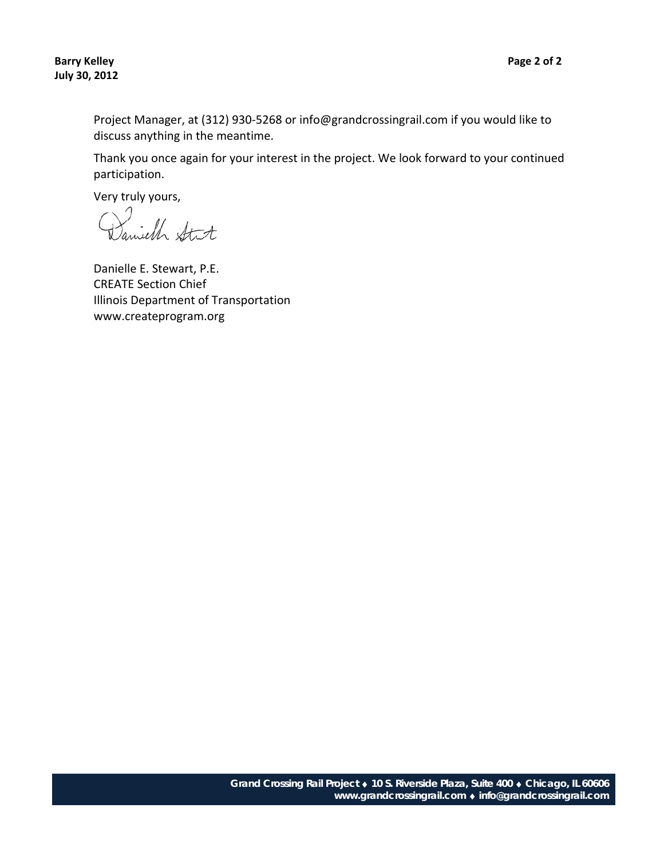Project Manager, at (312) 930‐5268 or info@grandcrossingrail.com if you would like to discuss anything in the meantime.

Thank you once again for your interest in the project. We look forward to your continued participation.

Daniell Stit

Danielle E. Stewart, P.E. CREATE Section Chief Illinois Department of Transportation www.createprogram.org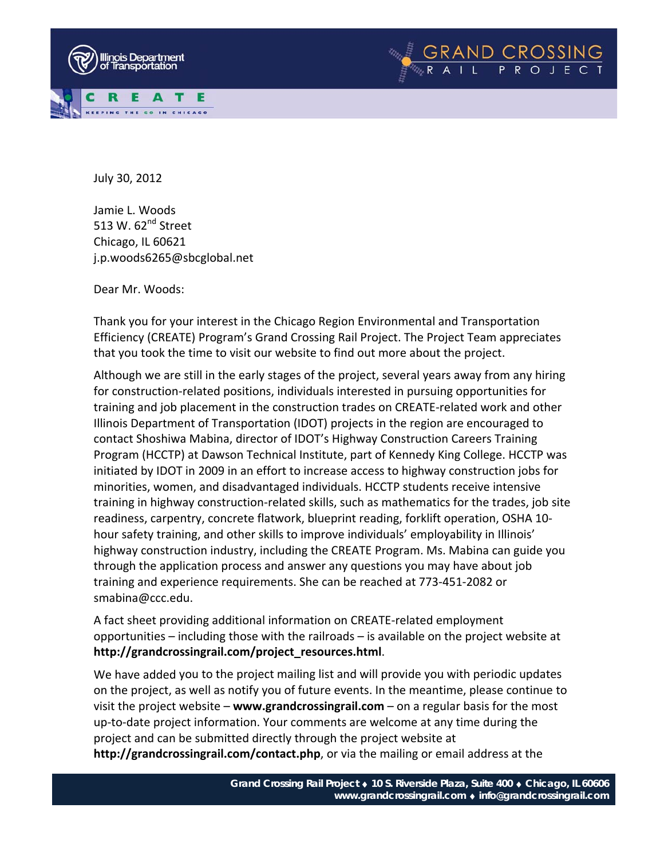



July 30, 2012

Jamie L. Woods 513 W.  $62<sup>nd</sup>$  Street Chicago, IL 60621 j.p.woods6265@sbcglobal.net

Dear Mr. Woods:

Thank you for your interest in the Chicago Region Environmental and Transportation Efficiency (CREATE) Program's Grand Crossing Rail Project. The Project Team appreciates that you took the time to visit our website to find out more about the project.

Although we are still in the early stages of the project, several years away from any hiring for construction‐related positions, individuals interested in pursuing opportunities for training and job placement in the construction trades on CREATE‐related work and other Illinois Department of Transportation (IDOT) projects in the region are encouraged to contact Shoshiwa Mabina, director of IDOT's Highway Construction Careers Training Program (HCCTP) at Dawson Technical Institute, part of Kennedy King College. HCCTP was initiated by IDOT in 2009 in an effort to increase access to highway construction jobs for minorities, women, and disadvantaged individuals. HCCTP students receive intensive training in highway construction‐related skills, such as mathematics for the trades, job site readiness, carpentry, concrete flatwork, blueprint reading, forklift operation, OSHA 10‐ hour safety training, and other skills to improve individuals' employability in Illinois' highway construction industry, including the CREATE Program. Ms. Mabina can guide you through the application process and answer any questions you may have about job training and experience requirements. She can be reached at 773‐451‐2082 or smabina@ccc.edu.

A fact sheet providing additional information on CREATE‐related employment opportunities – including those with the railroads – is available on the project website at **http://grandcrossingrail.com/project\_resources.html**.

We have added you to the project mailing list and will provide you with periodic updates on the project, as well as notify you of future events. In the meantime, please continue to visit the project website – **www.grandcrossingrail.com** – on a regular basis for the most up‐to‐date project information. Your comments are welcome at any time during the project and can be submitted directly through the project website at **http://grandcrossingrail.com/contact.php**, or via the mailing or email address at the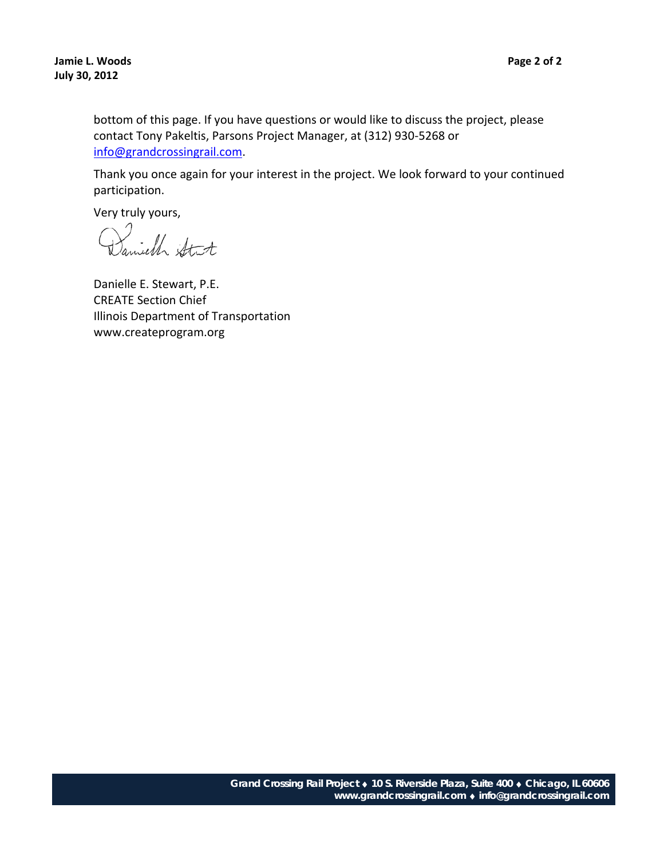bottom of this page. If you have questions or would like to discuss the project, please contact Tony Pakeltis, Parsons Project Manager, at (312) 930‐5268 or info@grandcrossingrail.com.

Thank you once again for your interest in the project. We look forward to your continued participation.

Daniell Stit

Danielle E. Stewart, P.E. CREATE Section Chief Illinois Department of Transportation www.createprogram.org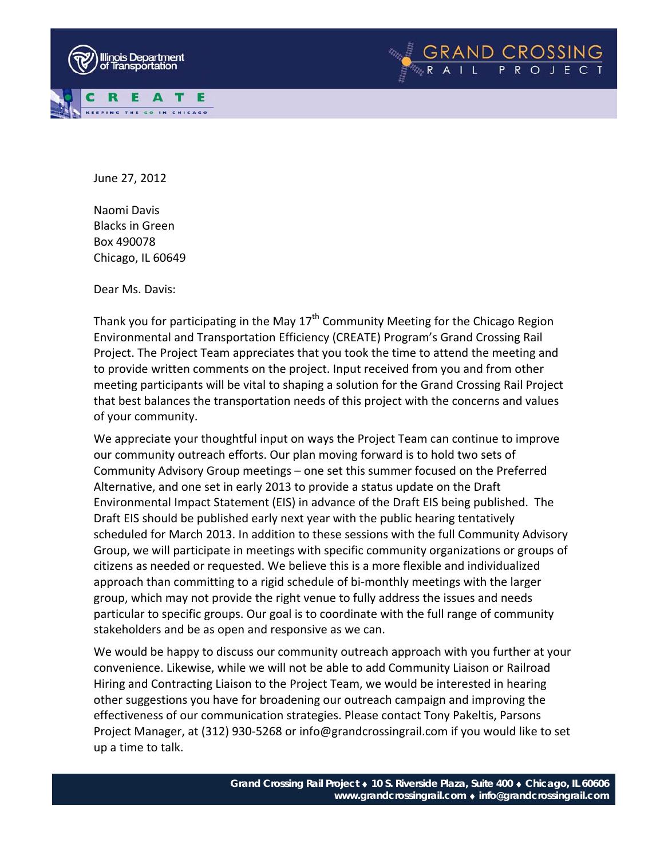



June 27, 2012

Naomi Davis Blacks in Green Box 490078 Chicago, IL 60649

Dear Ms. Davis:

Thank you for participating in the May  $17<sup>th</sup>$  Community Meeting for the Chicago Region Environmental and Transportation Efficiency (CREATE) Program's Grand Crossing Rail Project. The Project Team appreciates that you took the time to attend the meeting and to provide written comments on the project. Input received from you and from other meeting participants will be vital to shaping a solution for the Grand Crossing Rail Project that best balances the transportation needs of this project with the concerns and values of your community.

We appreciate your thoughtful input on ways the Project Team can continue to improve our community outreach efforts. Our plan moving forward is to hold two sets of Community Advisory Group meetings – one set this summer focused on the Preferred Alternative, and one set in early 2013 to provide a status update on the Draft Environmental Impact Statement (EIS) in advance of the Draft EIS being published. The Draft EIS should be published early next year with the public hearing tentatively scheduled for March 2013. In addition to these sessions with the full Community Advisory Group, we will participate in meetings with specific community organizations or groups of citizens as needed or requested. We believe this is a more flexible and individualized approach than committing to a rigid schedule of bi-monthly meetings with the larger group, which may not provide the right venue to fully address the issues and needs particular to specific groups. Our goal is to coordinate with the full range of community stakeholders and be as open and responsive as we can.

We would be happy to discuss our community outreach approach with you further at your convenience. Likewise, while we will not be able to add Community Liaison or Railroad Hiring and Contracting Liaison to the Project Team, we would be interested in hearing other suggestions you have for broadening our outreach campaign and improving the effectiveness of our communication strategies. Please contact Tony Pakeltis, Parsons Project Manager, at (312) 930‐5268 or info@grandcrossingrail.com if you would like to set up a time to talk.